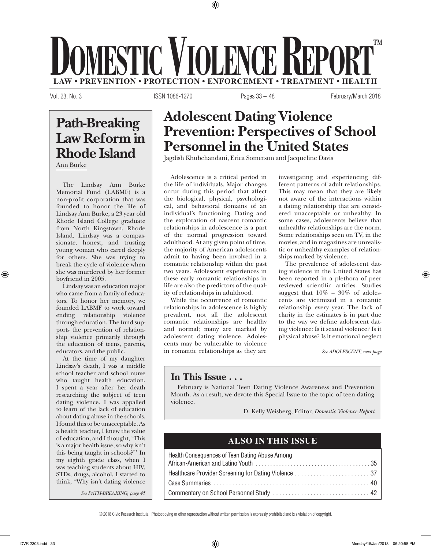# **LAW • PREVENTION • PROTECTION • ENFORCEMENT • TREATMENT MESTIC VIOLENCE REPOR ™**

⊕

Vol. 23, No. 3 **ISSN 1086-1270** Pages 33 – 48 February/March 2018

# **Path-Breaking Law Reform in Rhode Island**

Ann Burke

The Lindsay Ann Burke Memorial Fund (LABMF) is a non-profit corporation that was founded to honor the life of Lindsay Ann Burke, a 23 year old Rhode Island College graduate from North Kingstown, Rhode Island. Lindsay was a compassionate, honest, and trusting young woman who cared deeply for others. She was trying to break the cycle of violence when she was murdered by her former boyfriend in 2005.

Lindsay was an education major who came from a family of educators. To honor her memory, we founded LABMF to work toward ending relationship violence through education. The fund supports the prevention of relationship violence primarily through the education of teens, parents, educators, and the public.

At the time of my daughter Lindsay's death, I was a middle school teacher and school nurse who taught health education. I spent a year after her death researching the subject of teen dating violence. I was appalled to learn of the lack of education about dating abuse in the schools. I found this to be unacceptable. As a health teacher, I knew the value of education, and I thought, "This is a major health issue, so why isn't this being taught in schools?"' In my eighth grade class, when I was teaching students about HIV, STDs, drugs, alcohol, I started to think, "Why isn't dating violence

*See PATH-BREAKING, page 45*

# **Adolescent Dating Violence Prevention: Perspectives of School Personnel in the United States**

Jagdish Khubchandani, Erica Somerson and Jacqueline Davis

Adolescence is a critical period in the life of individuals. Major changes occur during this period that affect the biological, physical, psychological, and behavioral domains of an individual's functioning. Dating and the exploration of nascent romantic relationships in adolescence is a part of the normal progression toward adulthood. At any given point of time, the majority of American adolescents admit to having been involved in a romantic relationship within the past two years. Adolescent experiences in these early romantic relationships in life are also the predictors of the quality of relationships in adulthood.

While the occurrence of romantic relationships in adolescence is highly prevalent, not all the adolescent romantic relationships are healthy and normal; many are marked by adolescent dating violence. Adolescents may be vulnerable to violence in romantic relationships as they are

investigating and experiencing different patterns of adult relationships. This may mean that they are likely not aware of the interactions within a dating relationship that are considered unacceptable or unhealthy. In some cases, adolescents believe that unhealthy relationships are the norm. Some relationships seen on TV, in the movies, and in magazines are unrealistic or unhealthy examples of relationships marked by violence.

The prevalence of adolescent dating violence in the United States has been reported in a plethora of peer reviewed scientific articles. Studies suggest that  $10\%$  –  $30\%$  of adolescents are victimized in a romantic relationship every year. The lack of clarity in the estimates is in part due to the way we define adolescent dating violence: Is it sexual violence? Is it physical abuse? Is it emotional neglect

*See ADOLESCENT, next page*

⊕

# **In This Issue . . .**

February is National Teen Dating Violence Awareness and Prevention Month. As a result, we devote this Special Issue to the topic of teen dating violence.

D. Kelly Weisberg, Editor, *Domestic Violence Report*

# **ALSO IN THIS ISSUE**

| Health Consequences of Teen Dating Abuse Among |  |
|------------------------------------------------|--|
|                                                |  |
|                                                |  |
|                                                |  |
|                                                |  |

© 2018 Civic Research Institute. Photocopying or other reproduction without written permission is expressly prohibited and is a violation of copyright.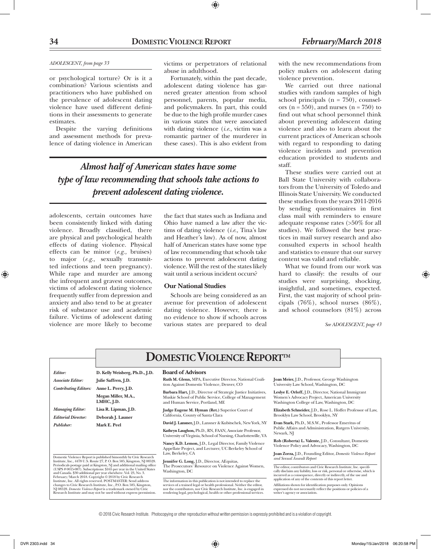## *ADOLESCENT, from page 33*

or psychological torture? Or is it a combination? Various scientists and practitioners who have published on the prevalence of adolescent dating violence have used different definitions in their assessments to generate estimates.

Despite the varying definitions and assessment methods for prevalence of dating violence in American

victims or perpetrators of relational abuse in adulthood.

⊕

Fortunately, within the past decade, adolescent dating violence has garnered greater attention from school personnel, parents, popular media, and policymakers. In part, this could be due to the high profile murder cases in various states that were associated with dating violence (*i.e.,* victim was a romantic partner of the murderer in these cases). This is also evident from

*Almost half of American states have some type of law recommending that schools take actions to prevent adolescent dating violence.*

adolescents, certain outcomes have been consistently linked with dating violence. Broadly classified, there are physical and psychological health effects of dating violence. Physical effects can be minor (*e.g.,* bruises) to major (*e.g.,* sexually transmitted infections and teen pregnancy). While rape and murder are among the infrequent and gravest outcomes, victims of adolescent dating violence frequently suffer from depression and anxiety and also tend to be at greater risk of substance use and academic failure. Victims of adolescent dating violence are more likely to become

the fact that states such as Indiana and Ohio have named a law after the victims of dating violence (*i.e.,* Tina's law and Heather's law). As of now, almost half of American states have some type of law recommending that schools take actions to prevent adolescent dating violence. Will the rest of the states likely wait until a serious incident occurs?

# **Our National Studies**

Schools are being considered as an avenue for prevention of adolescent dating violence. However, there is no evidence to show if schools across various states are prepared to deal

with the new recommendations from policy makers on adolescent dating violence prevention.

We carried out three national studies with random samples of high school principals  $(n = 750)$ , counselors ( $n = 550$ ), and nurses ( $n = 750$ ) to find out what school personnel think about preventing adolescent dating violence and also to learn about the current practices of American schools with regard to responding to dating violence incidents and prevention education provided to students and staff.

These studies were carried out at Ball State University with collaborators from the University of Toledo and Illinois State University. We conducted these studies from the years 2011-2016 by sending questionnaires in first class mail with reminders to ensure adequate response rates (>50% for all studies). We followed the best practices in mail survey research and also consulted experts in school health and statistics to ensure that our survey content was valid and reliable.

What we found from our work was hard to classify: the results of our studies were surprising, shocking, insightful, and sometimes, expected. First, the vast majority of school principals  $(76\%)$ , school nurses  $(86\%)$ , and school counselors (81%) across

*See ADOLESCENT, page 43*

|                                                                                                                                                                                                                                                                                                                                          |                                                                                                                                                                                                                                                                                                                                                                  | <b>DOMESTIC VIOLENCE REPORTTM</b>                                                                                                                                                                                                                                                                 |                                                                                                                                                                                                                                                       |                                 |                                                      |
|------------------------------------------------------------------------------------------------------------------------------------------------------------------------------------------------------------------------------------------------------------------------------------------------------------------------------------------|------------------------------------------------------------------------------------------------------------------------------------------------------------------------------------------------------------------------------------------------------------------------------------------------------------------------------------------------------------------|---------------------------------------------------------------------------------------------------------------------------------------------------------------------------------------------------------------------------------------------------------------------------------------------------|-------------------------------------------------------------------------------------------------------------------------------------------------------------------------------------------------------------------------------------------------------|---------------------------------|------------------------------------------------------|
| Editor:                                                                                                                                                                                                                                                                                                                                  | D. Kelly Weisberg, Ph.D., J.D.                                                                                                                                                                                                                                                                                                                                   | <b>Board of Advisors</b>                                                                                                                                                                                                                                                                          |                                                                                                                                                                                                                                                       |                                 |                                                      |
| <b>Associate Editor:</b>                                                                                                                                                                                                                                                                                                                 | Julie Saffren, J.D.                                                                                                                                                                                                                                                                                                                                              | Ruth M. Glenn, MPA, Executive Director, National Coali-<br>tion Against Domestic Violence, Denver, CO                                                                                                                                                                                             | Joan Meier, J.D., Professor, George Washington<br>University Law School, Washington, DC                                                                                                                                                               |                                 |                                                      |
| <b>Contributing Editors:</b>                                                                                                                                                                                                                                                                                                             | Anne L. Perry, J.D.<br>Megan Miller, M.A.,<br>LMHC, J.D.                                                                                                                                                                                                                                                                                                         | Barbara Hart, J.D., Director of Strategic Justice Initiatives,<br>Muskie School of Public Service, College of Management<br>Women's Advocacy Project, American University<br>Washington College of Law, Washington, DC                                                                            |                                                                                                                                                                                                                                                       | and Human Service, Portland, ME | Leslye E. Orloff, J.D., Director, National Immigrant |
| <b>Managing Editor:</b><br><b>Editorial Director:</b>                                                                                                                                                                                                                                                                                    | Lisa R. Lipman, J.D.<br>Deborah J. Launer                                                                                                                                                                                                                                                                                                                        | Judge Eugene M. Hyman (Ret.) Superior Court of<br>California, County of Santa Clara                                                                                                                                                                                                               | Elizabeth Schneider, J.D., Rose L. Hoffer Professor of Law,<br>Brooklyn Law School, Brooklyn, NY                                                                                                                                                      |                                 |                                                      |
| Publisher:                                                                                                                                                                                                                                                                                                                               | Mark E. Peel                                                                                                                                                                                                                                                                                                                                                     | David J. Lansner, J.D., Lansner & Kubitschek, New York, NY<br>Kathryn Laughon, Ph.D., RN, FAAN, Associate Professor,<br>University of Virginia, School of Nursing, Charlottesville, VA                                                                                                            | Evan Stark, Ph.D., M.S.W., Professor Emeritus of<br>Public Affairs and Administration, Rutgers University,<br>Newark, NJ                                                                                                                              |                                 |                                                      |
|                                                                                                                                                                                                                                                                                                                                          |                                                                                                                                                                                                                                                                                                                                                                  | Nancy K.D. Lemon, J.D., Legal Director, Family Violence<br>Appellate Project, and Lecturer, UC Berkeley School of<br>Law, Berkeley, CA                                                                                                                                                            | Rob (Roberta) L. Valente, J.D., Consultant, Domestic<br>Violence Policy and Advocacy, Washington, DC<br>Joan Zorza, J.D., Founding Editor, Domestic Violence Report                                                                                   |                                 |                                                      |
|                                                                                                                                                                                                                                                                                                                                          | Domestic Violence Report is published bimonthly by Civic Research<br>Institute, Inc., 4478 U.S. Route 27, P.O. Box 585, Kingston, NJ 08528.<br>Periodicals postage paid at Kingston, NJ and additional mailing office<br>(USPS #0015-087). Subscriptions: \$165 per year in the United States<br>and Canada. \$30 additional per year elsewhere. Vol. 23, No. 3. | Jennifer G. Long, J.D., Director, AEquitas,<br>The Prosecutors' Resource on Violence Against Women,<br>Washington, DC                                                                                                                                                                             | and Sexual Assault Report<br>The editor, contributors and Civic Research Institute, Inc. specifi-<br>cally disclaim any liability, loss or risk, personal or otherwise, which is<br>incurred as a consequence, directly or indirectly, of the use and |                                 |                                                      |
| February/March 2018. Copyright © 2018 by Civic Research<br>Institute, Inc. All rights reserved. POSTMASTER: Send address<br>changes to Civic Research Institute, Inc., P.O. Box 585, Kingston,<br>NJ 08528. Domestic Violence Report is a trademark owned by Civic<br>Research Institute and may not be used without express permission. |                                                                                                                                                                                                                                                                                                                                                                  | The information in this publication is not intended to replace the<br>services of a trained legal or health professional. Neither the editor,<br>nor the contributors, nor Civic Research Institute, Inc. is engaged in<br>rendering legal, psychological, health or other professional services. | application of any of the contents of this report letter.<br>Affiliations shown for identification purposes only. Opinions<br>expressed do not necessarily reflect the positions or policies of a<br>writer's agency or association.                  |                                 |                                                      |

© 2018 Civic Research Institute. Photocopying or other reproduction without written permission is expressly prohibited and is a violation of copyright.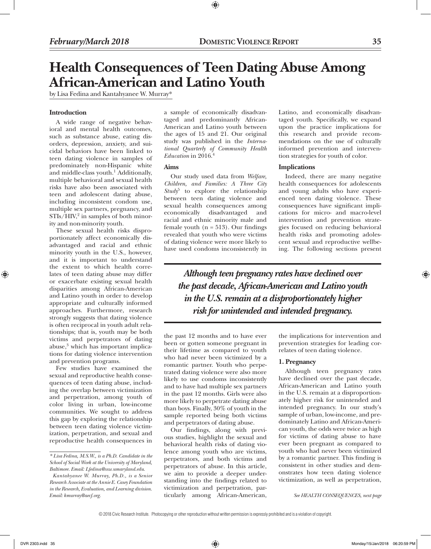# **Health Consequences of Teen Dating Abuse Among African-American and Latino Youth**

⊕

by Lisa Fedina and Kantahyanee W. Murray\*

## **Introduction**

A wide range of negative behavioral and mental health outcomes, such as substance abuse, eating disorders, depression, anxiety, and suicidal behaviors have been linked to teen dating violence in samples of predominately non-Hispanic white and middle-class youth.<sup>1</sup> Additionally, multiple behavioral and sexual health risks have also been associated with teen and adolescent dating abuse, including inconsistent condom use, multiple sex partners, pregnancy, and STIs/HIV,<sup>2</sup> in samples of both minority and non-minority youth.

These sexual health risks disproportionately affect economically disadvantaged and racial and ethnic minority youth in the U.S., however, and it is important to understand the extent to which health correlates of teen dating abuse may differ or exacerbate existing sexual health disparities among African-American and Latino youth in order to develop appropriate and culturally informed approaches. Furthermore, research strongly suggests that dating violence is often reciprocal in youth adult relationships; that is, youth may be both victims and perpetrators of dating abuse,<sup>3</sup> which has important implications for dating violence intervention and prevention programs.

Few studies have examined the sexual and reproductive health consequences of teen dating abuse, including the overlap between victimization and perpetration, among youth of color living in urban, low-income communities. We sought to address this gap by exploring the relationship between teen dating violence victimization, perpetration, and sexual and reproductive health consequences in

a sample of economically disadvantaged and predominantly African-American and Latino youth between the ages of 15 and 21. Our original study was published in the *International Quarterly of Community Health Education* in 2016.4

# **Aims**

Our study used data from *Welfare, Children, and Families: A Three City*  Study<sup>5</sup> to explore the relationship between teen dating violence and sexual health consequences among economically disadvantaged and racial and ethnic minority male and female youth  $(n = 513)$ . Our findings revealed that youth who were victims of dating violence were more likely to have used condoms inconsistently in

Latino, and economically disadvantaged youth. Specifically, we expand upon the practice implications for this research and provide recommendations on the use of culturally informed prevention and intervention strategies for youth of color.

# **Implications**

Indeed, there are many negative health consequences for adolescents and young adults who have experienced teen dating violence. These consequences have significant implications for micro- and macro-level intervention and prevention strategies focused on reducing behavioral health risks and promoting adolescent sexual and reproductive wellbeing. The following sections present

*Although teen pregnancy rates have declined over the past decade, African-American and Latino youth in the U.S. remain at a disproportionately higher risk for unintended and intended pregnancy.*

the past 12 months and to have ever been or gotten someone pregnant in their lifetime as compared to youth who had never been victimized by a romantic partner. Youth who perpetrated dating violence were also more likely to use condoms inconsistently and to have had multiple sex partners in the past 12 months. Girls were also more likely to perpetrate dating abuse than boys. Finally, 30% of youth in the sample reported being both victims and perpetrators of dating abuse.

Our findings, along with previous studies, highlight the sexual and behavioral health risks of dating violence among youth who are victims, perpetrators, and both victims and perpetrators of abuse. In this article, we aim to provide a deeper understanding into the findings related to victimization and perpetration, particularly among African-American,

the implications for intervention and prevention strategies for leading correlates of teen dating violence.

## **1. Pregnancy**

Although teen pregnancy rates have declined over the past decade, African-American and Latino youth in the U.S. remain at a disproportionately higher risk for unintended and intended pregnancy. In our study's sample of urban, low-income, and predominately Latino and African-American youth, the odds were twice as high for victims of dating abuse to have ever been pregnant as compared to youth who had never been victimized by a romantic partner. This finding is consistent in other studies and demonstrates how teen dating violence victimization, as well as perpetration,

*See HEALTH CONSEQUENCES, next page*

© 2018 Civic Research Institute. Photocopying or other reproduction without written permission is expressly prohibited and is a violation of copyright.

*<sup>\*</sup> Lisa Fedina, M.S.W., is a Ph.D. Candidate in the School of Social Work at the University of Maryland, Baltimore. Email: Lfedina@ssw.umaryland.edu.*

*Kantahyanee W. Murray, Ph.D., is a Senior Research Associate at the Annie E. Casey Foundation in the Research, Evaluation, and Learning division. Email: kmurray@aecf.org.*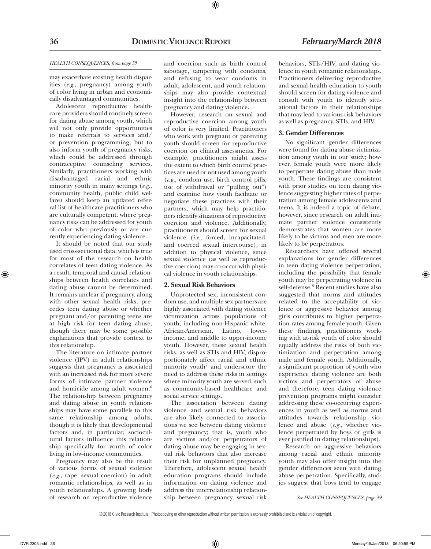# *HEALTH CONSEQUENCES, from page 35*

may exacerbate existing health disparities (*e.g.,* pregnancy) among youth of color living in urban and economically disadvantaged communities.

Adolescent reproductive healthcare providers should routinely screen for dating abuse among youth, which will not only provide opportunities to make referrals to services and/ or prevention programming, but to also inform youth of pregnancy risks, which could be addressed through contraceptive counseling services. Similarly, practitioners working with disadvantaged racial and ethnic minority youth in many settings (*e.g.,* community health, public child welfare) should keep an updated referral list of healthcare practitioners who are culturally competent, where pregnancy risks can be addressed for youth of color who previously or are currently experiencing dating violence.

It should be noted that our study used cross-sectional data, which is true for most of the research on health correlates of teen dating violence. As a result, temporal and causal relationships between health correlates and dating abuse cannot be determined. It remains unclear if pregnancy, along with other sexual health risks, precedes teen dating abuse or whether pregnant and/or parenting teens are at high risk for teen dating abuse, though there may be some possible explanations that provide context to this relationship.

The literature on intimate partner violence (IPV) in adult relationships suggests that pregnancy is associated with an increased risk for more severe forms of intimate partner violence and homicide among adult women.<sup>6</sup> The relationship between pregnancy and dating abuse in youth relationships may have some parallels to this same relationship among adults, though it is likely that developmental factors and, in particular, sociocultural factors influence this relationship specifically for youth of color living in low-income communities.

Pregnancy may also be the result of various forms of sexual violence (*e.g.,* rape, sexual coercion) in adult romantic relationships, as well as in youth relationships. A growing body of research on reproductive violence and coercion such as birth control sabotage, tampering with condoms, and refusing to wear condoms in adult, adolescent, and youth relationships may also provide contextual insight into the relationship between pregnancy and dating violence.

However, research on sexual and reproductive coercion among youth of color is very limited. Practitioners who work with pregnant or parenting youth should screen for reproductive coercion on clinical assessments. For example, practitioners might assess the extent to which birth control practices are used or not used among youth (*e.g.,* condom use, birth control pills, use of withdrawal or "pulling out") and examine how youth facilitate or negotiate these practices with their partners, which may help practitioners identify situations of reproductive coercion and violence. Additionally, practitioners should screen for sexual violence (*i.e.,* forced, incapacitated, and coerced sexual intercourse), in addition to physical violence, since sexual violence (as well as reproductive coercion) may co-occur with physical violence in youth relationships.

# **2. Sexual Risk Behaviors**

Unprotected sex, inconsistent condom use, and multiple sex partners are highly associated with dating violence victimization across populations of youth, including non-Hispanic white, African-American, Latino, lowerincome, and middle to upper-income youth. However, these sexual health risks, as well as STIs and HIV, disproportionately affect racial and ethnic minority youth<sup>7</sup> and underscore the need to address these risks in settings where minority youth are served, such as community-based healthcare and social service settings.

The association between dating violence and sexual risk behaviors are also likely connected to associations we see between dating violence and pregnancy; that is, youth who are victims and/or perpetrators of dating abuse may be engaging in sexual risk behaviors that also increase their risk for unplanned pregnancy. Therefore, adolescent sexual health education programs should include information on dating violence and address the interrelationship relationship between pregnancy, sexual risk

behaviors, STIs/HIV, and dating violence in youth romantic relationships. Practitioners delivering reproductive and sexual health education to youth should screen for dating violence and consult with youth to identify situational factors in their relationships that may lead to various risk behaviors as well as pregnancy, STIs, and HIV.

## **3. Gender Differences**

No significant gender differences were found for dating abuse victimization among youth in our study; however, female youth were more likely to perpetrate dating abuse than male youth. These findings are consistent with prior studies on teen dating violence suggesting higher rates of perpetration among female adolescents and teens. It is indeed a topic of debate, however, since research on adult intimate partner violence consistently demonstrates that women are more likely to be victims and men are more likely to be perpetrators.

Researchers have offered several explanations for gender differences in teen dating violence perpetration, including the possibility that female youth may be perpetrating violence in self-defense.8 Recent studies have also suggested that norms and attitudes related to the acceptability of violence or aggressive behavior among girls contributes to higher perpetration rates among female youth. Given these findings, practitioners working with at-risk youth of color should equally address the risks of both victimization and perpetration among male and female youth. Additionally, a significant proportion of youth who experience dating violence are both victims and perpetrators of abuse and therefore, teen dating violence prevention programs might consider addressing these co-occurring experiences in youth as well as norms and attitudes towards relationship violence and abuse (*e.g.,* whether violence perpetrated by boys or girls is ever justified in dating relationships).

Research on aggressive behaviors among racial and ethnic minority youth may also offer insight into the gender differences seen with dating abuse perpetration. Specifically, studies suggest that boys tend to engage

*See HEALTH CONSEQUENCES, page 39*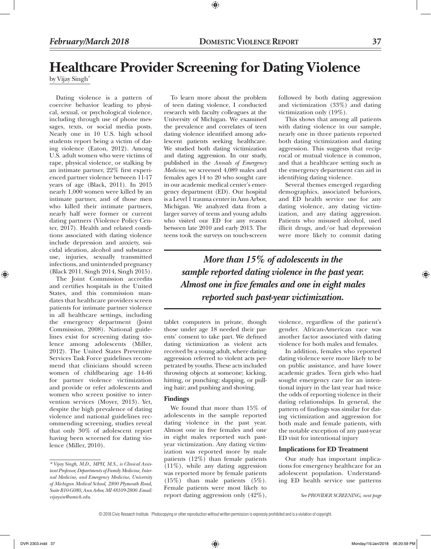# **Healthcare Provider Screening for Dating Violence**

⊕

by Vijay Singh\*

Dating violence is a pattern of coercive behavior leading to physical, sexual, or psychological violence, including through use of phone messages, texts, or social media posts. Nearly one in 10 U.S. high school students report being a victim of dating violence (Eaton, 2012). Among U.S. adult women who were victims of rape, physical violence, or stalking by an intimate partner, 22% first experienced partner violence between 11-17 years of age (Black, 2011). In 2015 nearly 1,000 women were killed by an intimate partner, and of those men who killed their intimate partners, nearly half were former or current dating partners (Violence Policy Center, 2017). Health and related conditions associated with dating violence include depression and anxiety, suicidal ideation, alcohol and substance use, injuries, sexually transmitted infections, and unintended pregnancy (Black 2011, Singh 2014, Singh 2015).

The Joint Commission accredits and certifies hospitals in the United States, and this commission mandates that healthcare providers screen patients for intimate partner violence in all healthcare settings, including the emergency department (Joint Commission, 2008). National guidelines exist for screening dating violence among adolescents (Miller, 2012). The United States Preventive Services Task Force guidelines recommend that clinicians should screen women of childbearing age 14-46 for partner violence victimization and provide or refer adolescents and women who screen positive to intervention services (Moyer, 2013). Yet, despite the high prevalence of dating violence and national guidelines recommending screening, studies reveal that only 30% of adolescent report having been screened for dating violence (Miller, 2010).

To learn more about the problem of teen dating violence, I conducted research with faculty colleagues at the University of Michigan. We examined the prevalence and correlates of teen dating violence identified among adolescent patients seeking healthcare. We studied both dating victimization and dating aggression. In our study, published in the *Annals of Emergency Medicine*, we screened 4,089 males and females ages 14 to 20 who sought care in our academic medical center's emergency department (ED). Our hospital is a Level 1 trauma center in Ann Arbor, Michigan. We analyzed data from a larger survey of teens and young adults who visited our ED for any reason between late 2010 and early 2013. The teens took the surveys on touch-screen

followed by both dating aggression and victimization (33%) and dating victimization only (19%).

This shows that among all patients with dating violence in our sample, nearly one in three patients reported both dating victimization and dating aggression. This suggests that reciprocal or mutual violence is common, and that a healthcare setting such as the emergency department can aid in identifying dating violence.

Several themes emerged regarding demographics, associated behaviors, and ED health service use for any dating violence, any dating victimization, and any dating aggression. Patients who misused alcohol, used illicit drugs, and/or had depression were more likely to commit dating

*More than 15% of adolescents in the sample reported dating violence in the past year. Almost one in five females and one in eight males reported such past-year victimization.*

tablet computers in private, though those under age 18 needed their parents' consent to take part. We defined dating victimization as violent acts received by a young adult, where dating aggression referred to violent acts perpetrated by youths. These acts included throwing objects at someone; kicking, hitting, or punching; slapping, or pulling hair; and pushing and shoving.

# **Findings**

We found that more than 15% of adolescents in the sample reported dating violence in the past year. Almost one in five females and one in eight males reported such pastyear victimization. Any dating victimization was reported more by male patients (12%) than female patients (11%), while any dating aggression was reported more by female patients (15%) than male patients (5%). Female patients were most likely to report dating aggression only (42%),

violence, regardless of the patient's gender. African-American race was another factor associated with dating violence for both males and females.

In addition, females who reported dating violence were more likely to be on public assistance, and have lower academic grades. Teen girls who had sought emergency care for an intentional injury in the last year had twice the odds of reporting violence in their dating relationships. In general, the pattern of findings was similar for dating victimization and aggression for both male and female patients, with the notable exception of any past-year ED visit for intentional injury

# **Implications for ED Treatment**

Our study has important implications for emergency healthcare for an adolescent population. Understanding ED health service use patterns

*See PROVIDER SCREENING, next page*

© 2018 Civic Research Institute. Photocopying or other reproduction without written permission is expressly prohibited and is a violation of copyright.

*<sup>\*</sup> Vijay Singh, M.D., MPH, M.S., is Clinical Assistant Professor, Departments of Family Medicine, Internal Medicine, and Emergency Medicine, University of Michigan Medical School, 2800 Plymouth Road, Suite B10-G080, Ann Arbor, MI 48109-2800. Email: vijaysin@umich.edu.*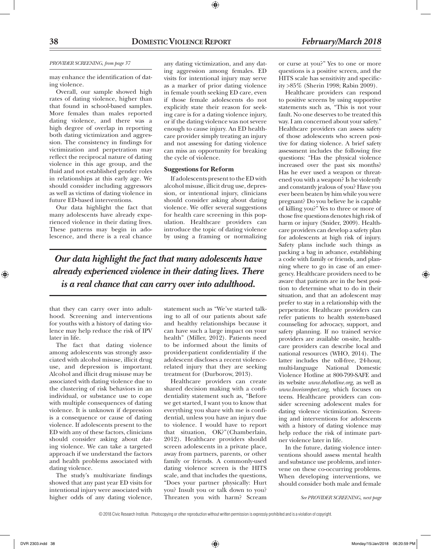### *PROVIDER SCREENING, from page 37*

may enhance the identification of dating violence.

Overall, our sample showed high rates of dating violence, higher than that found in school-based samples. More females than males reported dating violence, and there was a high degree of overlap in reporting both dating victimization and aggression. The consistency in findings for victimization and perpetration may reflect the reciprocal nature of dating violence in this age group, and the fluid and not established gender roles in relationships at this early age. We should consider including aggressors as well as victims of dating violence in future ED-based interventions.

Our data highlight the fact that many adolescents have already experienced violence in their dating lives. These patterns may begin in adolescence, and there is a real chance

any dating victimization, and any dating aggression among females. ED visits for intentional injury may serve as a marker of prior dating violence in female youth seeking ED care, even if those female adolescents do not explicitly state their reason for seeking care is for a dating violence injury, or if the dating violence was not severe enough to cause injury. An ED healthcare provider simply treating an injury and not assessing for dating violence can miss an opportunity for breaking the cycle of violence.

# **Suggestions for Reform**

If adolescents present to the ED with alcohol misuse, illicit drug use, depression, or intentional injury, clinicians should consider asking about dating violence. We offer several suggestions for health care screening in this population. Healthcare providers can introduce the topic of dating violence by using a framing or normalizing

*Our data highlight the fact that many adolescents have already experienced violence in their dating lives. There is a real chance that can carry over into adulthood.*

that they can carry over into adulthood. Screening and interventions for youths with a history of dating violence may help reduce the risk of IPV later in life.

The fact that dating violence among adolescents was strongly associated with alcohol misuse, illicit drug use, and depression is important. Alcohol and illicit drug misuse may be associated with dating violence due to the clustering of risk behaviors in an individual, or substance use to cope with multiple consequences of dating violence. It is unknown if depression is a consequence or cause of dating violence. If adolescents present to the ED with any of these factors, clinicians should consider asking about dating violence. We can take a targeted approach if we understand the factors and health problems associated with dating violence.

The study's multivariate findings showed that any past year ED visits for intentional injury were associated with higher odds of any dating violence,

statement such as "We've started talking to all of our patients about safe and healthy relationships because it can have such a large impact on your health" (Miller, 2012). Patients need to be informed about the limits of provider-patient confidentiality if the adolescent discloses a recent violencerelated injury that they are seeking treatment for (Durborow, 2013).

Healthcare providers can create shared decision making with a confidentiality statement such as, "Before we get started, I want you to know that everything you share with me is confidential, unless you have an injury due to violence. I would have to report that situation, OK?"(Chamberlain, 2012). Healthcare providers should screen adolescents in a private place, away from partners, parents, or other family or friends. A commonly-used dating violence screen is the HITS scale, and that includes the questions, "Does your partner physically: Hurt you? Insult you or talk down to you? Threaten you with harm? Scream

or curse at you?" Yes to one or more questions is a positive screen, and the HITS scale has sensitivity and specificity >85% (Sherin 1998; Rabin 2009).

Healthcare providers can respond to positive screens by using supportive statements such as, "This is not your fault. No one deserves to be treated this way. I am concerned about your safety." Healthcare providers can assess safety of those adolescents who screen positive for dating violence. A brief safety assessment includes the following five questions: "Has the physical violence increased over the past six months? Has he ever used a weapon or threatened you with a weapon? Is he violently and constantly jealous of you? Have you ever been beaten by him while you were pregnant? Do you believe he is capable of killing you?" Yes to three or more of those five questions denotes high risk of harm or injury (Snider, 2009). Healthcare providers can develop a safety plan for adolescents at high risk of injury. Safety plans include such things as packing a bag in advance, establishing a code with family or friends, and planning where to go in case of an emergency. Healthcare providers need to be aware that patients are in the best position to determine what to do in their situation, and that an adolescent may prefer to stay in a relationship with the perpetrator. Healthcare providers can refer patients to health system-based counseling for advocacy, support, and safety planning. If no trained service providers are available on-site, healthcare providers can describe local and national resources (WHO, 2014). The latter includes the toll-free, 24-hour, multi-language National Domestic Violence Hotline at 800-799-SAFE and its website *www.thehotline.org,* as well as *www.loveisrespect.org,* which focuses on teens. Healthcare providers can consider screening adolescent males for dating violence victimization. Screening and interventions for adolescents with a history of dating violence may help reduce the risk of intimate partner violence later in life.

In the future, dating violence interventions should assess mental health and substance use problems, and intervene on these co-occurring problems. When developing interventions, we should consider both male and female

*See PROVIDER SCREENING, next page*

⊕

DVR 2303.indd 38 Monday/15/Jan/2018 06:20:59 PM

<sup>© 2018</sup> Civic Research Institute. Photocopying or other reproduction without written permission is expressly prohibited and is a violation of copyright.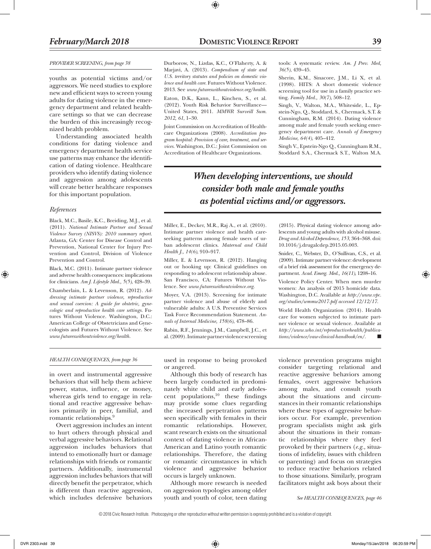### *PROVIDER SCREENING, from page 38*

youths as potential victims and/or aggressors. We need studies to explore new and efficient ways to screen young adults for dating violence in the emergency department and related healthcare settings so that we can decrease the burden of this increasingly recognized health problem.

Understanding associated health conditions for dating violence and emergency department health service use patterns may enhance the identification of dating violence. Healthcare providers who identify dating violence and aggression among adolescents will create better healthcare responses for this important population.

### *References*

⊕

Black, M.C., Basile, K.C., Breiding, M.J., et al. (2011). *National Intimate Partner and Sexual Violence Survey (NISVS): 2010 summary report.* Atlanta, GA: Center for Disease Control and Prevention, National Center for Injury Prevention and Control, Division of Violence Prevention and Control.

Black, M.C. (2011). Intimate partner violence and adverse health consequences: implications for clinicians. *Am J. Lifestyle Med., 5(5)*, 428–39.

Chamberlain, L. & Levenson, R. (2012). *Addressing intimate partner violence, reproductive and sexual coercion: A guide for obstetric, gynecologic and reproductive health care settings.* Futures Without Violence. Washington, D.C.: American College of Obstetricians and Gynecologists and Futures Without Violence. See *www.futureswithoutviolence.org/health.*

Durborow, N., Lizdas, K.C., O'Flaherty, A. & Marjavi, A. (2013). *Compendium of state and U.S. territory statutes and policies on domestic violence and health care.* Futures Without Violence. 2013. See *www.futureswithoutviolence.org/health.*

⊕

Eaton, D.K., Kann, L., Kinchen, S., et al. (2012). Youth Risk Behavior Surveillance— United States, 2011. *MMWR Surveill Sum. 2012, 61*, 1–30.

Joint Commission on Accreditation of Healthcare Organizations (2008). *Accreditation program hospital: Provision of care, treatment, and services.* Washington, D.C.: Joint Commission on Accreditation of Healthcare Organizations.

tools: A systematic review. *Am. J Prev. Med, 36(5)*, 439–45.

Sherin, K.M., Sinacore, J.M., Li X, et al. (1998). HITS: A short domestic violence screening tool for use in a family practice setting. *Family Med., 30(7)*, 508–12.

Singh, V., Walton, M.A., Whiteside, L., Epstein-Ngo, Q., Stoddard, S., Chermack, S.T. & Cunningham, R.M. (2014). Dating violence among male and female youth seeking emergency department care. *Annals of Emergency Medicine, 64(4)*, 405–412.

Singh V., Epstein-Ngo Q., Cunningham R.M., Stoddard S.A., Chermack S.T., Walton M.A.

# *When developing interventions, we should consider both male and female youths as potential victims and/or aggressors.*

Miller, E., Decker, M.R., Raj A., et al. (2010). Intimate partner violence and health careseeking patterns among female users of urban adolescent clinics. *Maternal and Child Health J., 14(6)*, 910–917.

Miller, E. & Levenson, R. (2012). Hanging out or hooking up: Clinical guidelines on responding to adolescent relationship abuse. San Francisco, CA: Futures Without Violence. See *www.futureswithoutviolence.org.*

Moyer, V.A. (2013). Screening for intimate partner violence and abuse of elderly and vulnerable adults: A U.S. Preventive Services Task Force Recommendation Statement. *Annals of Internal Medicine, 158(6)*, 478–86.

Rabin, R.F., Jennings, J.M., Campbell, J.C., et al. (2009). Intimate partner violence screening

(2015). Physical dating violence among adolescents and young adults with alcohol misuse. *Drug and Alcohol Dependence, 153*, 364–368. doi: 10.1016/j.drugalcdep.2015.05.003.

Snider, C., Webster, D., O'Sullivan, C.S., et al. (2009). Intimate partner violence: development of a brief risk assessment for the emergency department. *Acad. Emerg. Med., 16(11)*, 1208–16.

Violence Policy Center. When men murder women: An analysis of 2015 homicide data. Washington, D.C. Available at *http://www.vpc. org/studies/wmmw2017.pdf accessed 12/12/17.*

World Health Organization (2014). Health care for women subjected to intimate partner violence or sexual violence. Available at *http://www.who.int/reproductivehealth/publica* $tions/violence/vaw-clinical-handbook/en/.$ 

### *HEALTH CONSEQUENCES, from page 36*

in overt and instrumental aggressive behaviors that will help them achieve power, status, influence, or money, whereas girls tend to engage in relational and reactive aggressive behaviors primarily in peer, familial, and romantic relationships.9

Overt aggression includes an intent to hurt others through physical and verbal aggressive behaviors. Relational aggression includes behaviors that intend to emotionally hurt or damage relationships with friends or romantic partners. Additionally, instrumental aggression includes behaviors that will directly benefit the perpetrator, which is different than reactive aggression, which includes defensive behaviors

used in response to being provoked or angered.

Although this body of research has been largely conducted in predominately white child and early adolescent populations, $10$  these findings may provide some clues regarding the increased perpetration patterns seen specifically with females in their romantic relationships. However, scant research exists on the situational context of dating violence in African-American and Latino youth romantic relationships. Therefore, the dating or romantic circumstances in which violence and aggressive behavior occurs is largely unknown.

Although more research is needed on aggression typologies among older youth and youth of color, teen dating violence prevention programs might consider targeting relational and reactive aggressive behaviors among females, overt aggressive behaviors among males, and consult youth about the situations and circumstances in their romantic relationships where these types of aggressive behaviors occur. For example, prevention program specialists might ask girls about the situations in their romantic relationships where they feel provoked by their partners (*e.g.,* situations of infidelity, issues with children or parenting) and focus on strategies to reduce reactive behaviors related to those situations. Similarly, program facilitators might ask boys about their

*See HEALTH CONSEQUENCES, page 46*

© 2018 Civic Research Institute. Photocopying or other reproduction without written permission is expressly prohibited and is a violation of copyright.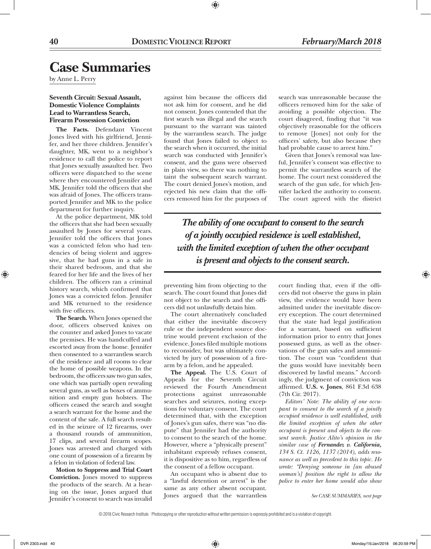# **Case Summaries**

by Anne L. Perry

# **Seventh Circuit: Sexual Assault, Domestic Violence Complaints Lead to Warrantless Search, Firearm Possession Conviction**

**The Facts.** Defendant Vincent Jones lived with his girlfriend, Jennifer, and her three children. Jennifer's daughter, MK, went to a neighbor's residence to call the police to report that Jones sexually assaulted her. Two officers were dispatched to the scene where they encountered Jennifer and MK. Jennifer told the officers that she was afraid of Jones. The officers transported Jennifer and MK to the police department for further inquiry.

At the police department, MK told the officers that she had been sexually assaulted by Jones for several years. Jennifer told the officers that Jones was a convicted felon who had tendencies of being violent and aggressive, that he had guns in a safe in their shared bedroom, and that she feared for her life and the lives of her children. The officers ran a criminal history search, which confirmed that Jones was a convicted felon. Jennifer and MK returned to the residence with five officers.

**The Search.** When Jones opened the door, officers observed knives on the counter and asked Jones to vacate the premises. He was handcuffed and escorted away from the home. Jennifer then consented to a warrantless search of the residence and all rooms to clear the home of possible weapons. In the bedroom, the officers saw two gun safes, one which was partially open revealing several guns, as well as boxes of ammunition and empty gun holsters. The officers ceased the search and sought a search warrant for the home and the content of the safe. A full search resulted in the seizure of 12 firearms, over a thousand rounds of ammunition, 17 clips, and several firearm scopes. Jones was arrested and charged with one count of possession of a firearm by a felon in violation of federal law.

**Motion to Suppress and Trial Court Conviction.** Jones moved to suppress the products of the search. At a hearing on the issue, Jones argued that Jennifer's consent to search was invalid against him because the officers did not ask him for consent, and he did not consent. Jones contended that the first search was illegal and the search pursuant to the warrant was tainted by the warrantless search. The judge found that Jones failed to object to the search when it occurred, the initial search was conducted with Jennifer's consent, and the guns were observed in plain view, so there was nothing to taint the subsequent search warrant. The court denied Jones's motion, and rejected his new claim that the officers removed him for the purposes of

 $\textcircled{\scriptsize{+}}$ 

search was unreasonable because the officers removed him for the sake of avoiding a possible objection. The court disagreed, finding that "it was objectively reasonable for the officers to remove [Jones] not only for the officers' safety, but also because they had probable cause to arrest him."

Given that Jones's removal was lawful, Jennifer's consent was effective to permit the warrantless search of the home. The court next considered the search of the gun safe, for which Jennifer lacked the authority to consent. The court agreed with the district

*The ability of one occupant to consent to the search of a jointly occupied residence is well established, with the limited exception of when the other occupant is present and objects to the consent search.*

preventing him from objecting to the search. The court found that Jones did not object to the search and the officers did not unlawfully detain him.

The court alternatively concluded that either the inevitable discovery rule or the independent source doctrine would prevent exclusion of the evidence. Jones filed multiple motions to reconsider, but was ultimately convicted by jury of possession of a firearm by a felon, and he appealed.

**The Appeal.** The U.S. Court of Appeals for the Seventh Circuit reviewed the Fourth Amendment protections against unreasonable searches and seizures, noting exceptions for voluntary consent. The court determined that, with the exception of Jones's gun safes, there was "no dispute" that Jennifer had the authority to consent to the search of the home. However, where a "physically present" inhabitant expressly refuses consent, it is dispositive as to him, regardless of the consent of a fellow occupant.

An occupant who is absent due to a "lawful detention or arrest" is the same as any other absent occupant. Jones argued that the warrantless court finding that, even if the officers did not observe the guns in plain view, the evidence would have been admitted under the inevitable discovery exception. The court determined that the state had legal justification for a warrant, based on sufficient information prior to entry that Jones possessed guns, as well as the observations of the gun safes and ammunition. The court was "confident that the guns would have inevitably been discovered by lawful means." Accordingly, the judgment of conviction was affirmed. **U.S. v. Jones**, 861 F.3d 638 (7th Cir. 2017).

*Editors' Note: The ability of one occupant to consent to the search of a jointly occupied residence is well established, with the limited exception of when the other occupant is present and objects to the consent search. Justice Alito's opinion in the similar case of Fernandez v. California, 134 S. Ct. 1126, 1137 (2014), adds resonance as well as precedent to this topic. He wrote: "Denying someone in [an abused woman's] position the right to allow the police to enter her home would also show* 

*See CASE SUMMARIES, next page*

<sup>© 2018</sup> Civic Research Institute. Photocopying or other reproduction without written permission is expressly prohibited and is a violation of copyright.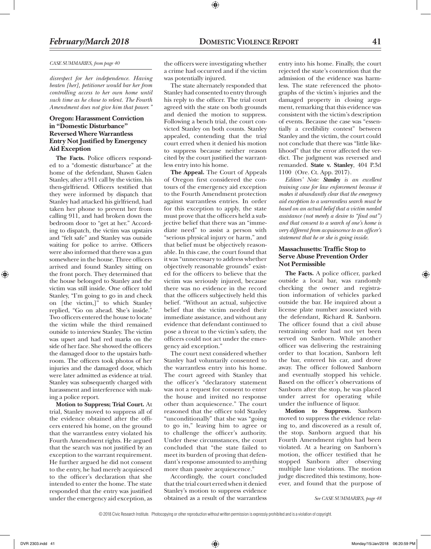### *CASE SUMMARIES, from page 40*

*disrespect for her independence. Having beaten [her], petitioner would bar her from controlling access to her own home until such time as he chose to relent. The Fourth Amendment does not give him that power."* 

# **Oregon: Harassment Conviction in "Domestic Disturbance" Reversed Where Warrantless Entry Not Justified by Emergency Aid Exception**

**The Facts.** Police officers responded to a "domestic disturbance" at the home of the defendant, Shawn Galen Stanley, after a 911 call by the victim, his then-girlfriend. Officers testified that they were informed by dispatch that Stanley had attacked his girlfriend, had taken her phone to prevent her from calling 911, and had broken down the bedroom door to "get at her." According to dispatch, the victim was upstairs and "felt safe" and Stanley was outside waiting for police to arrive. Officers were also informed that there was a gun somewhere in the house. Three officers arrived and found Stanley sitting on the front porch. They determined that the house belonged to Stanley and the victim was still inside. One officer told Stanley, "I'm going to go in and check on [the victim,]" to which Stanley replied, "Go on ahead. She's inside." Two officers entered the house to locate the victim while the third remained outside to interview Stanley. The victim was upset and had red marks on the side of her face. She showed the officers the damaged door to the upstairs bathroom. The officers took photos of her injuries and the damaged door, which were later admitted as evidence at trial. Stanley was subsequently charged with harassment and interference with making a police report.

**Motion to Suppress; Trial Court.** At trial, Stanley moved to suppress all of the evidence obtained after the officers entered his home, on the ground that the warrantless entry violated his Fourth Amendment rights. He argued that the search was not justified by an exception to the warrant requirement. He further argued he did not consent to the entry, he had merely acquiesced to the officer's declaration that she intended to enter the home. The state responded that the entry was justified under the emergency aid exception, as

the officers were investigating whether a crime had occurred and if the victim was potentially injured.

The state alternately responded that Stanley had consented to entry through his reply to the officer. The trial court agreed with the state on both grounds and denied the motion to suppress. Following a bench trial, the court convicted Stanley on both counts. Stanley appealed, contending that the trial court erred when it denied his motion to suppress because neither reason cited by the court justified the warrantless entry into his home.

**The Appeal.** The Court of Appeals of Oregon first considered the contours of the emergency aid exception to the Fourth Amendment protection against warrantless entries. In order for this exception to apply, the state must prove that the officers held a subjective belief that there was an "immediate need" to assist a person with "serious physical injury or harm," and that belief must be objectively reasonable. In this case, the court found that it was "unnecessary to address whether objectively reasonable grounds" existed for the officers to believe that the victim was seriously injured, because there was no evidence in the record that the officers subjectively held this belief. "Without an actual, subjective belief that the victim needed their immediate assistance, and without any evidence that defendant continued to pose a threat to the victim's safety, the officers could not act under the emergency aid exception."

The court next considered whether Stanley had voluntarily consented to the warrantless entry into his home. The court agreed with Stanley that the officer's "declaratory statement was not a request for consent to enter the house and invited no response other than acquiescence." The court reasoned that the officer told Stanley "unconditionally" that she was "going to go in," leaving him to agree or to challenge the officer's authority. Under these circumstances, the court concluded that "the state failed to meet its burden of proving that defendant's response amounted to anything more than passive acquiescence."

Accordingly, the court concluded that the trial court erred when it denied Stanley's motion to suppress evidence obtained as a result of the warrantless

entry into his home. Finally, the court rejected the state's contention that the admission of the evidence was harmless. The state referenced the photographs of the victim's injuries and the damaged property in closing argument, remarking that this evidence was consistent with the victim's description of events. Because the case was "essentially a credibility contest" between Stanley and the victim, the court could not conclude that there was "little likelihood" that the error affected the verdict. The judgment was reversed and remanded. **State v. Stanley**, 404 P.3d 1100 (Ore. Ct. App. 2017).

*Editors' Note: Stanley is an excellent training case for law enforcement because it makes it abundantly clear that the emergency aid exception to a warrantless search must be based on an actual belief that a victim needed assistance (not merely a desire to "find out") and that consent to a search of one's home is very different from acquiescence to an officer's statement that he or she is going inside.* 

# **Massachusetts: Traffic Stop to Serve Abuse Prevention Order Not Permissible**

**The Facts.** A police officer, parked outside a local bar, was randomly checking the owner and registration information of vehicles parked outside the bar. He inquired about a license plate number associated with the defendant, Richard R. Sanborn. The officer found that a civil abuse restraining order had not yet been served on Sanborn. While another officer was delivering the restraining order to that location, Sanborn left the bar, entered his car, and drove away. The officer followed Sanborn and eventually stopped his vehicle. Based on the officer's observations of Sanborn after the stop, he was placed under arrest for operating while under the influence of liquor.

**Motion to Suppress.** Sanborn moved to suppress the evidence relating to, and discovered as a result of, the stop. Sanborn argued that his Fourth Amendment rights had been violated. At a hearing on Sanborn's motion, the officer testified that he stopped Sanborn after observing multiple lane violations. The motion judge discredited this testimony, however, and found that the purpose of

*See CASE SUMMARIES, page 48*

<sup>© 2018</sup> Civic Research Institute. Photocopying or other reproduction without written permission is expressly prohibited and is a violation of copyright.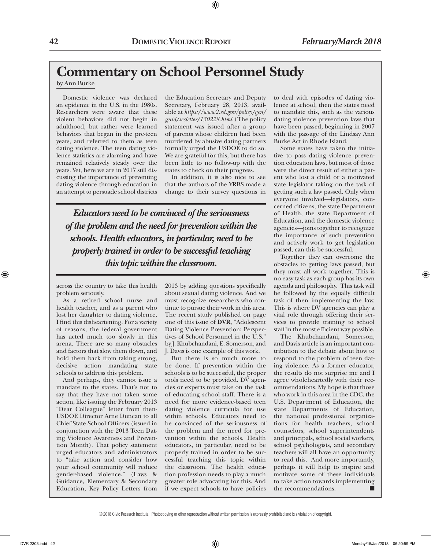# **Commentary on School Personnel Study**

# by Ann Burke

Domestic violence was declared an epidemic in the U.S. in the 1980s. Researchers were aware that these violent behaviors did not begin in adulthood, but rather were learned behaviors that began in the pre-teen years, and referred to them as teen dating violence. The teen dating violence statistics are alarming and have remained relatively steady over the years. Yet, here we are in 2017 still discussing the importance of preventing dating violence through education in an attempt to persuade school districts

the Education Secretary and Deputy Secretary, February 28, 2013, available at *https://www2.ed.gov/policy/gen/ guid/secletter/130228.html.)* The policy statement was issued after a group of parents whose children had been murdered by abusive dating partners formally urged the USDOE to do so. We are grateful for this, but there has been little to no follow-up with the states to check on their progress.

⊕

In addition, it is also nice to see that the authors of the YRBS made a change to their survey questions in

*Educators need to be convinced of the seriousness of the problem and the need for prevention within the schools. Health educators, in particular, need to be properly trained in order to be successful teaching this topic within the classroom.*

across the country to take this health problem seriously.

As a retired school nurse and health teacher, and as a parent who lost her daughter to dating violence, I find this disheartening. For a variety of reasons, the federal government has acted much too slowly in this arena. There are so many obstacles and factors that slow them down, and hold them back from taking strong, decisive action mandating state schools to address this problem.

And perhaps, they cannot issue a mandate to the states. That's not to say that they have not taken some action, like issuing the February 2013 "Dear Colleague" letter from then-USDOE Director Arne Duncan to all Chief State School Officers (issued in conjunction with the 2013 Teen Dating Violence Awareness and Prevention Month). That policy statement urged educators and administrators to "take action and consider how your school community will reduce gender-based violence." (Laws & Guidance, Elementary & Secondary Education, Key Policy Letters from 2013 by adding questions specifically about sexual dating violence. And we must recognize researchers who continue to pursue their work in this area. The recent study published on page one of this issue of **DVR**, "Adolescent Dating Violence Prevention: Perspectives of School Personnel in the U.S." by J. Khubchandani, E. Somerson, and J. Davis is one example of this work.

But there is so much more to be done. If prevention within the schools is to be successful, the proper tools need to be provided. DV agencies or experts must take on the task of educating school staff. There is a need for more evidence-based teen dating violence curricula for use within schools. Educators need to be convinced of the seriousness of the problem and the need for prevention within the schools. Health educators, in particular, need to be properly trained in order to be successful teaching this topic within the classroom. The health education profession needs to play a much greater role advocating for this. And if we expect schools to have policies

to deal with episodes of dating violence at school, then the states need to mandate this, such as the various dating violence prevention laws that have been passed, beginning in 2007 with the passage of the Lindsay Ann Burke Act in Rhode Island.

Some states have taken the initiative to pass dating violence prevention education laws, but most of those were the direct result of either a parent who lost a child or a motivated state legislator taking on the task of getting such a law passed. Only when everyone involved—legislators, concerned citizens, the state Department of Health, the state Department of Education, and the domestic violence agencies—joins together to recognize the importance of such prevention and actively work to get legislation passed, can this be successful.

Together they can overcome the obstacles to getting laws passed, but they must all work together. This is no easy task as each group has its own agenda and philosophy. This task will be followed by the equally difficult task of then implementing the law. This is where DV agencies can play a vital role through offering their services to provide training to school staff in the most efficient way possible.

The Khubchandani, Somerson, and Davis article is an important contribution to the debate about how to respond to the problem of teen dating violence. As a former educator, the results do not surprise me and I agree wholeheartedly with their recommendations. My hope is that those who work in this area in the CDC, the U.S. Department of Education, the state Departments of Education, the national professional organizations for health teachers, school counselors, school superintendents and principals, school social workers, school psychologists, and secondary teachers will all have an opportunity to read this. And more importantly, perhaps it will help to inspire and motivate some of these individuals to take action towards implementing the recommendations.

<sup>© 2018</sup> Civic Research Institute. Photocopying or other reproduction without written permission is expressly prohibited and is a violation of copyright.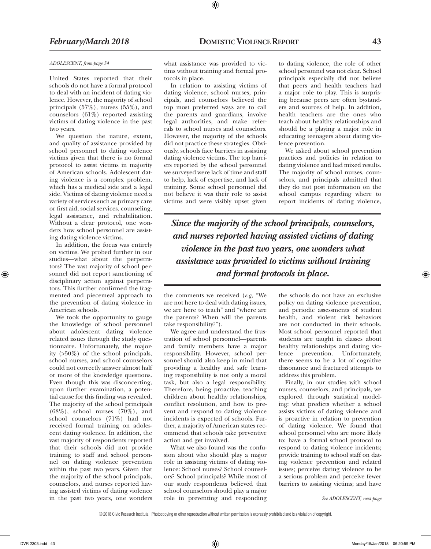#### *ADOLESCENT, from page 34*

United States reported that their schools do not have a formal protocol to deal with an incident of dating violence. However, the majority of school principals (57%), nurses (55%), and counselors (61%) reported assisting victims of dating violence in the past two years.

We question the nature, extent, and quality of assistance provided by school personnel to dating violence victims given that there is no formal protocol to assist victims in majority of American schools. Adolescent dating violence is a complex problem, which has a medical side and a legal side. Victims of dating violence need a variety of services such as primary care or first aid, social services, counseling, legal assistance, and rehabilitation. Without a clear protocol, one wonders how school personnel are assisting dating violence victims.

In addition, the focus was entirely on victims. We probed further in our studies—what about the perpetrators? The vast majority of school personnel did not report sanctioning of disciplinary action against perpetrators. This further confirmed the fragmented and piecemeal approach to the prevention of dating violence in American schools.

We took the opportunity to gauge the knowledge of school personnel about adolescent dating violence related issues through the study questionnaire. Unfortunately, the majority (>50%) of the school principals, school nurses, and school counselors could not correctly answer almost half or more of the knowledge questions. Even though this was disconcerting, upon further examination, a potential cause for this finding was revealed. The majority of the school principals  $(68\%)$ , school nurses  $(70\%)$ , and school counselors (71%) had not received formal training on adolescent dating violence. In addition, the vast majority of respondents reported that their schools did not provide training to staff and school personnel on dating violence prevention within the past two years. Given that the majority of the school principals, counselors, and nurses reported having assisted victims of dating violence in the past two years, one wonders

what assistance was provided to victims without training and formal protocols in place.

⊕

In relation to assisting victims of dating violence, school nurses, principals, and counselors believed the top most preferred ways are to call the parents and guardians, involve legal authorities, and make referrals to school nurses and counselors. However, the majority of the schools did not practice these strategies. Obviously, schools face barriers in assisting dating violence victims. The top barriers reported by the school personnel we surveyed were lack of time and staff to help, lack of expertise, and lack of training. Some school personnel did not believe it was their role to assist victims and were visibly upset given

to dating violence, the role of other school personnel was not clear. School principals especially did not believe that peers and health teachers had a major role to play. This is surprising because peers are often bystanders and sources of help. In addition, health teachers are the ones who teach about healthy relationships and should be a playing a major role in educating teenagers about dating violence prevention.

We asked about school prevention practices and policies in relation to dating violence and had mixed results. The majority of school nurses, counselors, and principals admitted that they do not post information on the school campus regarding where to report incidents of dating violence,

*Since the majority of the school principals, counselors, and nurses reported having assisted victims of dating violence in the past two years, one wonders what assistance was provided to victims without training and formal protocols in place.*

the comments we received (*e.g*, "We are not here to deal with dating issues, we are here to teach" and "where are the parents? When will the parents take responsibility?").

We agree and understand the frustration of school personnel—parents and family members have a major responsibility. However, school personnel should also keep in mind that providing a healthy and safe learning responsibility is not only a moral task, but also a legal responsibility. Therefore, being proactive, teaching children about healthy relationships, conflict resolution, and how to prevent and respond to dating violence incidents is expected of schools. Further, a majority of American states recommend that schools take preventive action and get involved.

What we also found was the confusion about who should play a major role in assisting victims of dating violence: School nurses? School counselors? School principals? While most of our study respondents believed that school counselors should play a major role in preventing and responding

the schools do not have an exclusive policy on dating violence prevention, and periodic assessments of student health, and violent risk behaviors are not conducted in their schools. Most school personnel reported that students are taught in classes about healthy relationships and dating violence prevention. Unfortunately, there seems to be a lot of cognitive dissonance and fractured attempts to address this problem.

Finally, in our studies with school nurses, counselors, and principals, we explored through statistical modeling: what predicts whether a school assists victims of dating violence and is proactive in relation to prevention of dating violence. We found that school personnel who are more likely to: have a formal school protocol to respond to dating violence incidents; provide training to school staff on dating violence prevention and related issues; perceive dating violence to be a serious problem and perceive fewer barriers to assisting victims; and have

*See ADOLESCENT, next page*

<sup>© 2018</sup> Civic Research Institute. Photocopying or other reproduction without written permission is expressly prohibited and is a violation of copyright.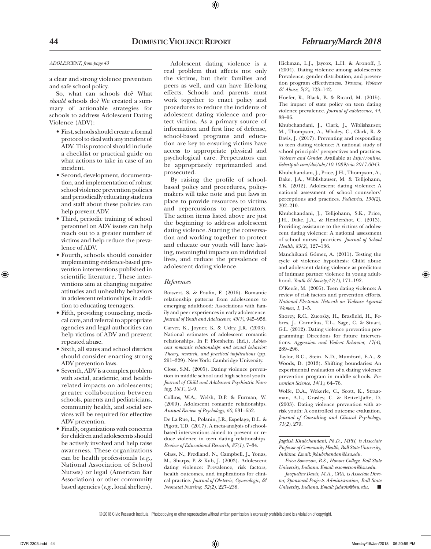# **44 DomesticViolence Report** *February/March 2018*

### *ADOLESCENT, from page 43*

a clear and strong violence prevention and safe school policy.

So, what can schools do? What *should* schools do? We created a summary of actionable strategies for schools to address Adolescent Dating Violence (ADV):

- First, schools should create a formal protocol to deal with any incident of ADV. This protocol should include a checklist or practical guide on what actions to take in case of an incident.
- • Second, development, documentation, and implementation of robust school violence prevention policies and periodically educating students and staff about these policies can help prevent ADV.
- • Third, periodic training of school personnel on ADV issues can help reach out to a greater number of victims and help reduce the prevalence of ADV.
- • Fourth, schools should consider implementing evidence-based prevention interventions published in scientific literature. These interventions aim at changing negative attitudes and unhealthy behaviors in adolescent relationships, in addition to educating teenagers.
- • Fifth, providing counseling, medical care, and referral to appropriate agencies and legal authorities can help victims of ADV and prevent repeated abuse.
- • Sixth, all states and school districts should consider enacting strong ADV prevention laws.
- Seventh, ADV is a complex problem with social, academic, and healthrelated impacts on adolescents; greater collaboration between schools, parents and pediatricians, community health, and social services will be required for effective ADV prevention.
- • Finally, organizationswith concerns for children and adolescents should be actively involved and help raise awareness. These organizations can be health professionals (*e.g.,* National Association of School Nurses) or legal (American Bar Association) or other community based agencies (*e.g.,* local shelters).

Adolescent dating violence is a real problem that affects not only the victims, but their families and peers as well, and can have life-long effects. Schools and parents must work together to enact policy and procedures to reduce the incidents of adolescent dating violence and protect victims. As a primary source of information and first line of defense, school-based programs and education are key to ensuring victims have access to appropriate physical and psychological care. Perpetrators can be appropriately reprimanded and prosecuted.

By raising the profile of schoolbased policy and procedures, policymakers will take note and put laws in place to provide resources to victims and repercussions to perpetrators. The action items listed above are just the beginning to address adolescent dating violence. Starting the conversation and working together to protect and educate our youth will have lasting, meaningful impacts on individual lives, and reduce the prevalence of adolescent dating violence.

# *References*

Boisvert, S. & Poulin, F. (2016). Romantic relationship patterns from adolescence to emerging adulthood: Associations with family and peer experiences in early adolescence. *Journal of Youth and Adolescence*, *45(5)*, 945–958.

Carver, K., Joyner, K. & Udry, J.R. (2003). National estimates of adolescent romantic relationships. In P. Florsheim (Ed.), *Adolescent romantic relationships and sexual behavior: Theory, research, and practical implications* (pp. 291–329). New York: Cambridge University.

Close, S.M. (2005). Dating violence prevention in middle school and high school youth. *Journal of Child and Adolescent Psychiatric Nursing*, *18(1)*, 2–9.

Collins, W.A., Welsh, D.P. & Furman, W. (2009). Adolescent romantic relationships. *Annual Review of Psychology*, *60*, 631–652.

De La Rue, L., Polanin, J.R., Espelage, D.L. & Pigott, T.D. (2017). A meta-analysis of schoolbased interventions aimed to prevent or reduce violence in teen dating relationships. *Review of Educational Research*, *87(1)*, 7–34.

Glass, N., Fredland, N., Campbell, J., Yonas, M., Sharps, P. & Kub, J. (2003). Adolescent dating violence: Prevalence, risk factors, health outcomes, and implications for clinical practice. *Journal of Obstetric, Gynecologic, & Neonatal Nursing*, *32(2)*, 227–238.

Hickman, L.J., Jaycox, L.H. & Aronoff, J. (2004). Dating violence among adolescents: Prevalence, gender distribution, and prevention program effectiveness. *Trauma, Violence & Abuse*, *5(2)*, 123–142.

Hoefer, R., Black, B. & Ricard, M. (2015). The impact of state policy on teen dating violence prevalence. *Journal of adolescence*, *44*, 88–96.

Khubchandani, J., Clark, J., Wiblishauser, M., Thompson, A., Whaley, C., Clark, R. & Davis, J. (2017). Preventing and responding to teen dating violence: A national study of school principals' perspectives and practices. *Violence and Gender*. Available at *http://online. liebertpub.com/doi/abs/10.1089/vio.2017.0043.*

Khubchandani, J., Price, J.H., Thompson, A., Dake, J.A., Wiblishauser, M. & Telljohann, S.K. (2012). Adolescent dating violence: A national assessment of school counselors' perceptions and practices. *Pediatrics*, *130(2)*, 202–210.

Khubchandani, J., Telljohann, S.K., Price, J.H., Dake, J.A., & Hendershot, C. (2013). Providing assistance to the victims of adolescent dating violence: A national assessment of school nurses' practices. *Journal of School Health*, *83(2)*, 127–136.

Manchikanti Gómez, A. (2011). Testing the cycle of violence hypothesis: Child abuse and adolescent dating violence as predictors of intimate partner violence in young adulthood. *Youth & Society*,*43(1)*, 171–192.

O'Keefe, M. (2005). Teen dating violence: A review of risk factors and prevention efforts. *National Electronic Network on Violence Against Women*, *1*, 1–5.

Shorey, R.C., Zucosky, H., Brasfield, H., Febres, J., Cornelius, T.L., Sage, C. & Stuart, G.L. (2012). Dating violence prevention programming: Directions for future interventions. *Aggression and Violent Behavior*, *17(4)*, 289–296.

Taylor, B.G., Stein, N.D., Mumford, E.A., & Woods, D. (2013). Shifting boundaries: An experimental evaluation of a dating violence prevention program in middle schools. *Prevention Science*, *14(1)*, 64–76.

Wolfe, D.A., Wekerle, C., Scott, K., Straatman, A.L., Grasley, C. & Reitzel-Jaffe, D. (2003). Dating violence prevention with atrisk youth: A controlled outcome evaluation. *Journal of Consulting and Clinical Psychology*, *71(2)*, 279.

*Jagdish Khubchandani, Ph.D., MPH, is Associate Professor of Community Health, Ball State University, Indiana. Email: jkhubchandan@bsu.edu.* 

*Erica Somerson, B.S., Honors College, Ball State University, Indiana. Email: essomerson@bsu.edu.* 

*Jacqueline Davis, M.A., CRA, is Associate Director, Sponsored Projects Administration, Ball State University, Indiana. Email: jsdavis@bsu.edu.* n

© 2018 Civic Research Institute. Photocopying or other reproduction without written permission is expressly prohibited and is a violation of copyright.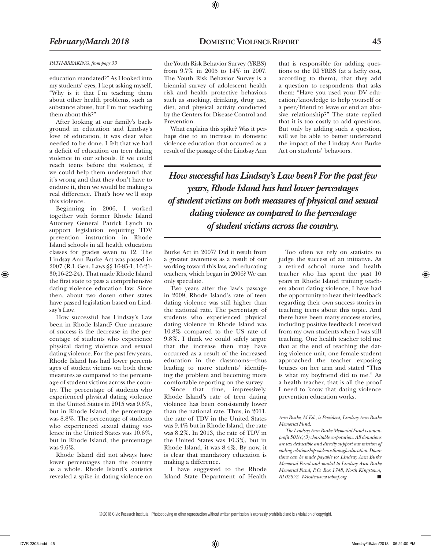# *February/March 2018* **DomesticViolence Report 45**

#### *PATH-BREAKING, from page 33*

education mandated?" As I looked into my students' eyes, I kept asking myself, "Why is it that I'm teaching them about other health problems, such as substance abuse, but I'm not teaching them about this?"

After looking at our family's background in education and Lindsay's love of education, it was clear what needed to be done. I felt that we had a deficit of education on teen dating violence in our schools. If we could reach teens before the violence, if we could help them understand that it's wrong and that they don't have to endure it, then we would be making a real difference. That's how we'll stop this violence.

Beginning in 2006, I worked together with former Rhode Island Attorney General Patrick Lynch to support legislation requiring TDV prevention instruction in Rhode Island schools in all health education classes for grades seven to 12. The Lindsay Ann Burke Act was passed in 2007 (R.I. Gen. Laws §§ 16-85-1; 16-21- 30;16-22-24). That made Rhode Island the first state to pass a comprehensive dating violence education law. Since then, about two dozen other states have passed legislation based on Lindsay's Law.

How successful has Lindsay's Law been in Rhode Island? One measure of success is the decrease in the percentage of students who experience physical dating violence and sexual dating violence. For the past few years, Rhode Island has had lower percentages of student victims on both these measures as compared to the percentage of student victims across the country. The percentage of students who experienced physical dating violence in the United States in 2015 was 9.6%, but in Rhode Island, the percentage was 8.8%. The percentage of students who experienced sexual dating violence in the United States was 10.6%, but in Rhode Island, the percentage was 9.6%.

Rhode Island did not always have lower percentages than the country as a whole. Rhode Island's statistics revealed a spike in dating violence on the Youth Risk Behavior Survey (YRBS) from 9.7% in 2005 to 14% in 2007. The Youth Risk Behavior Survey is a biennial survey of adolescent health risk and health protective behaviors such as smoking, drinking, drug use, diet, and physical activity conducted by the Centers for Disease Control and Prevention.

⊕

What explains this spike? Was it perhaps due to an increase in domestic violence education that occurred as a result of the passage of the Lindsay Ann that is responsible for adding questions to the RI YRBS (at a hefty cost, according to them), that they add a question to respondents that asks them: "Have you used your DV education/knowledge to help yourself or a peer/friend to leave or end an abusive relationship?" The state replied that it is too costly to add questions. But only by adding such a question, will we be able to better understand the impact of the Lindsay Ann Burke Act on students' behaviors.

*How successful has Lindsay's Law been? For the past few years, Rhode Island has had lower percentages of student victims on both measures of physical and sexual dating violence as compared to the percentage of student victims across the country.*

Burke Act in 2007? Did it result from a greater awareness as a result of our working toward this law, and educating teachers, which began in 2006? We can only speculate.

Two years after the law's passage in 2009, Rhode Island's rate of teen dating violence was still higher than the national rate. The percentage of students who experienced physical dating violence in Rhode Island was 10.8% compared to the US rate of 9.8%. I think we could safely argue that the increase then may have occurred as a result of the increased education in the classrooms—thus leading to more students' identifying the problem and becoming more comfortable reporting on the survey.

Since that time, impressively, Rhode Island's rate of teen dating violence has been consistently lower than the national rate. Thus, in 2011, the rate of TDV in the United States was 9.4% but in Rhode Island, the rate was 8.2%. In 2013, the rate of TDV in the United States was 10.3%, but in Rhode Island, it was 8.4%. By now, it is clear that mandatory education is making a difference.

I have suggested to the Rhode Island State Department of Health

Too often we rely on statistics to judge the success of an initiative. As a retired school nurse and health teacher who has spent the past 10 years in Rhode Island training teachers about dating violence, I have had the opportunity to hear their feedback regarding their own success stories in teaching teens about this topic. And there have been many success stories, including positive feedback I received from my own students when I was still teaching. One health teacher told me that at the end of teaching the dating violence unit, one female student approached the teacher exposing bruises on her arm and stated "This is what my boyfriend did to me." As a health teacher, that is all the proof I need to know that dating violence prevention education works.

*The Lindsay Ann Burke Memorial Fund is a nonprofit 501(c)(3) charitable corporation. All donations are tax deductible and directly support our mission of ending relationship violence through education. Donations can be made payable to: Lindsay Ann Burke Memorial Fund and mailed to Lindsay Ann Burke Memorial Fund, P.O. Box 1748, North Kingstown,*   $RI$  02852. Website:www.labmf.org.

*Ann Burke, M.Ed., is President, Lindsay Ann Burke Memorial Fund.*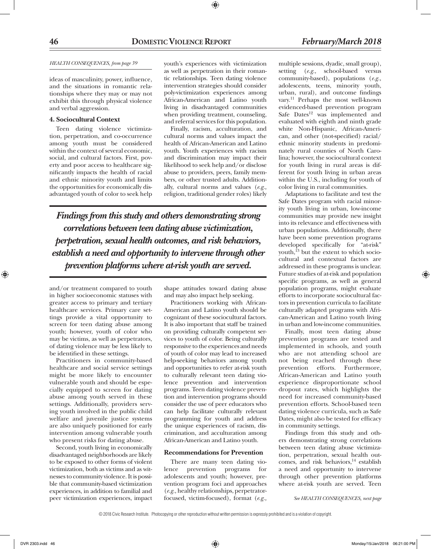# *HEALTH CONSEQUENCES, from page 39*

ideas of masculinity, power, influence, and the situations in romantic relationships where they may or may not exhibit this through physical violence and verbal aggression.

## **4. Sociocultural Context**

Teen dating violence victimization, perpetration, and co-occurrence among youth must be considered within the context of several economic, social, and cultural factors. First, poverty and poor access to healthcare significantly impacts the health of racial and ethnic minority youth and limits the opportunities for economically disadvantaged youth of color to seek help

youth's experiences with victimization as well as perpetration in their romantic relationships. Teen dating violence intervention strategies should consider poly-victimization experiences among African-American and Latino youth living in disadvantaged communities when providing treatment, counseling, and referral services for this population.

Finally, racism, acculturation, and cultural norms and values impact the health of African-American and Latino youth. Youth experiences with racism and discrimination may impact their likelihood to seek help and/or disclose abuse to providers, peers, family members, or other trusted adults. Additionally, cultural norms and values (*e.g.,* religion, traditional gender roles) likely

*Findings from this study and others demonstrating strong correlations between teen dating abuse victimization, perpetration, sexual health outcomes, and risk behaviors, establish a need and opportunity to intervene through other prevention platforms where at-risk youth are served.*

and/or treatment compared to youth in higher socioeconomic statuses with greater access to primary and tertiary healthcare services. Primary care settings provide a vital opportunity to screen for teen dating abuse among youth; however, youth of color who may be victims, as well as perpetrators, of dating violence may be less likely to be identified in these settings.

Practitioners in community-based healthcare and social service settings might be more likely to encounter vulnerable youth and should be especially equipped to screen for dating abuse among youth served in these settings. Additionally, providers serving youth involved in the public child welfare and juvenile justice systems are also uniquely positioned for early intervention among vulnerable youth who present risks for dating abuse.

Second, youth living in economically disadvantaged neighborhoods are likely to be exposed to other forms of violent victimization, both as victims and as witnesses to community violence. It is possible that community-based victimization experiences, in addition to familial and peer victimization experiences, impact

shape attitudes toward dating abuse and may also impact help seeking.

Practitioners working with African-American and Latino youth should be cognizant of these sociocultural factors. It is also important that staff be trained on providing culturally competent services to youth of color. Being culturally responsive to the experiences and needs of youth of color may lead to increased help-seeking behaviors among youth and opportunities to refer at-risk youth to culturally relevant teen dating violence prevention and intervention programs. Teen dating violence prevention and intervention programs should consider the use of peer educators who can help facilitate culturally relevant programming for youth and address the unique experiences of racism, discrimination, and acculturation among African-American and Latino youth.

# **Recommendations for Prevention**

There are many teen dating violence prevention programs for adolescents and youth; however, prevention program foci and approaches (*e.g.,* healthy relationships, perpetratorfocused, victim-focused), format (*e.g.,*

multiple sessions, dyadic, small group), setting (*e.g.,* school-based versus community-based), populations (*e.g.,* adolescents, teens, minority youth, urban, rural), and outcome findings vary.11 Perhaps the most well-known evidenced-based prevention program Safe Dates<sup>12</sup> was implemented and evaluated with eighth and ninth grade white Non-Hispanic, African-American, and other (not-specified) racial/ ethnic minority students in predominately rural counties of North Carolina; however, the sociocultural context for youth living in rural areas is different for youth living in urban areas within the U.S., including for youth of color living in rural communities.

Adaptations to facilitate and test the Safe Dates program with racial minority youth living in urban, low-income communities may provide new insight into its relevance and effectiveness with urban populations. Additionally, there have been some prevention programs developed specifically for "at-risk" youth, $^{13}$  but the extent to which sociocultural and contextual factors are addressed in these programs is unclear. Future studies of at-risk and population specific programs, as well as general population programs, might evaluate efforts to incorporate sociocultural factors in prevention curricula to facilitate culturally adapted programs with African-American and Latino youth living in urban and low-income communities.

Finally, most teen dating abuse prevention programs are tested and implemented in schools, and youth who are not attending school are not being reached through these prevention efforts. Furthermore, African-American and Latino youth experience disproportionate school dropout rates, which highlights the need for increased community-based prevention efforts. School-based teen dating violence curricula, such as Safe Dates, might also be tested for efficacy in community settings.

Findings from this study and others demonstrating strong correlations between teen dating abuse victimization, perpetration, sexual health outcomes, and risk behaviors,<sup>14</sup> establish a need and opportunity to intervene through other prevention platforms where at-risk youth are served. Teen

*See HEALTH CONSEQUENCES, next page*

<sup>© 2018</sup> Civic Research Institute. Photocopying or other reproduction without written permission is expressly prohibited and is a violation of copyright.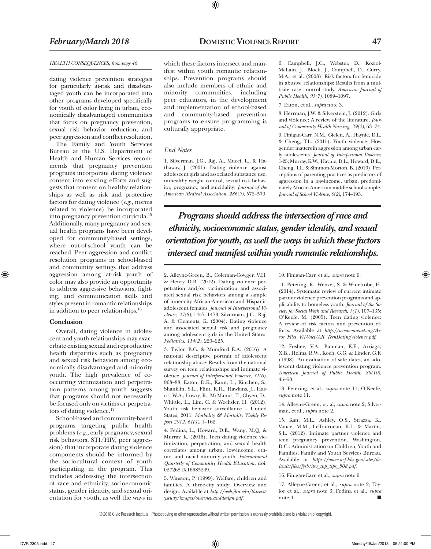# *HEALTH CONSEQUENCES, from page 46*

dating violence prevention strategies for particularly at-risk and disadvantaged youth can be incorporated into other programs developed specifically for youth of color living in urban, economically disadvantaged communities that focus on pregnancy prevention, sexual risk behavior reduction, and peer aggression and conflict resolution.

The Family and Youth Services Bureau at the U.S. Department of Health and Human Services recommends that pregnancy prevention programs incorporate dating violence content into existing efforts and suggests that content on healthy relationships as well as risk and protective factors for dating violence (*e.g.,* norms related to violence) be incorporated into pregnancy prevention curricula.15 Additionally, many pregnancy and sexual health programs have been developed for community-based settings, where out-of-school youth can be reached. Peer aggression and conflict resolution programs in school-based and community settings that address aggression among at-risk youth of color may also provide an opportunity to address aggressive behaviors, fighting, and communication skills and styles present in romantic relationships in addition to peer relationships.16

# **Conclusion**

⊕

Overall, dating violence in adolescent and youth relationships may exacerbate existing sexual and reproductive health disparities such as pregnancy and sexual risk behaviors among economically disadvantaged and minority youth. The high prevalence of cooccurring victimization and perpetration patterns among youth suggests that programs should not necessarily be focused only on victims or perpetrators of dating violence.<sup>17</sup>

School-based and community-based programs targeting public health problems (*e.g.,* early pregnancy, sexual risk behaviors, STI/HIV, peer aggression) that incorporate dating violence components should be informed by the sociocultural context of youth participating in the program. This includes addressing the intersection of race and ethnicity, socioeconomic status, gender identity, and sexual orientation for youth, as well the ways in

which these factors intersect and manifest within youth romantic relationships. Prevention programs should also include members of ethnic and minority communities, including peer educators, in the development and implementation of school-based and community-based prevention programs to ensure programming is culturally appropriate.

⊕

# *End Notes*

1. Silverman, J.G., Raj, A., Mucci, L., & Hathaway, J. (2001). Dating violence against adolescent girls and associated substance use, unhealthy weight control, sexual risk behavior, pregnancy, and suicidality*. Journal of the American Medical Association, 286(5)*, 572–579.

6. Campbell, J.C., Webster, D., Koziol-McLain, J., Block, J., Campbell, D., Curry, M.A., et al. (2003). Risk factors for femicide in abusive relationships: Results from a multisite case control study. *American Journal of Public Health, 93(7)*, 1089–1097.

### 7. Eaton, et al., *supra* note 3.

8. Herrman, J.W. & Silverstein, J. (2012). Girls and violence: A review of the literature. *Journal of Community Health Nursing, 29(2)*, 63–74.

9. Finigan-Carr, N.M., Gielen, A., Haynie, D.L. & Cheng, T.L. (2015). Youth violence: How gender matters in aggression among urban early adolescents. *Journal of Interpersonal Violence*, 1-25; Murray, K.W., Haynie, D.L., Howard, D.E., Cheng, T.L. & Simmon-Morton, B. (2010). Perceptions of parenting practices as predictors of aggression in a low-income, urban, predominately African-American middle school sample. *Journal of School Violence, 9(2)*, 174–193.

*Programs should address the intersection of race and ethnicity, socioeconomic status, gender identity, and sexual orientation for youth, as well the ways in which these factors intersect and manifest within youth romantic relationships.*

2. Alleyne-Green, B., Coleman-Cowger, V.H. & Henry, D.B. (2012). Dating violence perpetration and/or victimization and associated sexual risk behaviors among a sample of inner-city African-American and Hispanic adolescent females. *Journal of Interpersonal Violence, 27(8)*, 1457–1473; Silverman, J.G., Raj, A. & Clements, K. (2004). Dating violence and associated sexual risk and pregnancy among adolescent girls in the United States*. Pediatrics, 114(2)*, 220–225.

3. Taylor, B.G. & Mumford E.A. (2016). A national descriptive portrait of adolescent relationship abuse: Results from the national survey on teen relationships and intimate violence. *Journal of Interpersonal Violence*, *31(6)*, 963–88; Eaton, D.K., Kann, L., Kinchen, S., Shanklin, S.L., Flint, K.H., Hawkins, J., Harris, W.A., Lowry, R., McManus, T., Chyen, D., Whittle, L., Lim, C. & Wechsler, H. (2012). Youth risk behavior surveillance – United States, 2011. *Morbidity & Mortality Weekly Report 2012, 61(4)*, 1–162.

4. Fedina, L., Howard, D.E., Wang, M.Q. & Murray, K. (2016). Teen dating violence victimization, perpetration, and sexual health correlates among urban, low-income, ethnic, and racial minority youth. *International Quarterly of Community Health Education.* doi: 0272684X16685249.

5. Winston, P. (1999). Welfare, children and families. A three-city study: Overview and design. Available at *http://web.jhu.edu/threecitystudy/images/overviewanddesign.pdf.*

10. Finigan-Carr, et al., *supra* note 9.

11. Petering, R., Wenzel, S. & Winetrobe, H. (2014). Systematic review of current intimate partner violence prevention programs and applicability to homeless youth. *Journal of the Society for Social Work and Research, 5(1)*, 107–135; O'Keefe, M. (2005). Teen dating violence: A review of risk factors and prevention efforts. Available at *http://www.vawnet.org/Assoc\_Files\_VAWnet/AR\_TeenDatingViolence.pdf*.

12. Foshee, V.A., Bauman, K.E., Arriaga, X.B., Helms, R.W., Koch, G.G. & Linder, G.F. (1998). An evaluation of safe dates, an adolescent dating violence prevention program. *American Journal of Public Health, 88(10)*, 45–50.

13. Petering, et al., *supra* note 11; O'Keefe, *supra* note 11.

14. Alleyne-Green, et. al, *supra* note 2; Silverman, et al., *supra* note 2.

15. Kan, M.L., Ashley, O.S., Strazza, K., Vance, M.M., LeTourneau, K.L. & Martin, S.L. (2012). Intimate partner violence and teen pregnancy prevention. Washington, D.C.: Administration on Children, Youth and Families, Family and Youth Services Bureau. Available at *https://www.acf.hhs.gov/sites/default/files/fysb/ipv\_tpp\_tips\_508.pdf.*

16. Finigan-Carr, et al., *supra* note 9.

17. Alleyne-Green, et al., *supra* note 2; Taylor et al., *supra* note 3; Fedina et al., *supra* note 4.

© 2018 Civic Research Institute. Photocopying or other reproduction without written permission is expressly prohibited and is a violation of copyright.